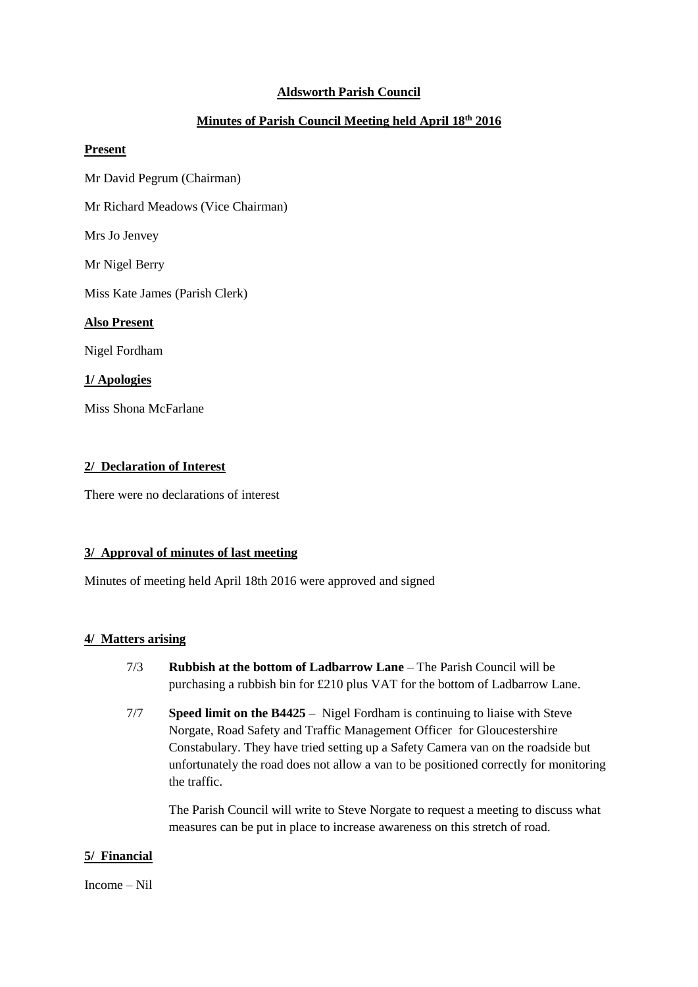# **Aldsworth Parish Council**

# **Minutes of Parish Council Meeting held April 18th 2016**

#### **Present**

Mr David Pegrum (Chairman)

Mr Richard Meadows (Vice Chairman)

Mrs Jo Jenvey

Mr Nigel Berry

Miss Kate James (Parish Clerk)

#### **Also Present**

Nigel Fordham

# **1/ Apologies**

Miss Shona McFarlane

# **2/ Declaration of Interest**

There were no declarations of interest

# **3/ Approval of minutes of last meeting**

Minutes of meeting held April 18th 2016 were approved and signed

### **4/ Matters arising**

- 7/3 **Rubbish at the bottom of Ladbarrow Lane** The Parish Council will be purchasing a rubbish bin for £210 plus VAT for the bottom of Ladbarrow Lane.
- 7/7 **Speed limit on the B4425** Nigel Fordham is continuing to liaise with Steve Norgate, Road Safety and Traffic Management Officer for Gloucestershire Constabulary. They have tried setting up a Safety Camera van on the roadside but unfortunately the road does not allow a van to be positioned correctly for monitoring the traffic.

The Parish Council will write to Steve Norgate to request a meeting to discuss what measures can be put in place to increase awareness on this stretch of road.

# **5/ Financial**

#### Income – Nil